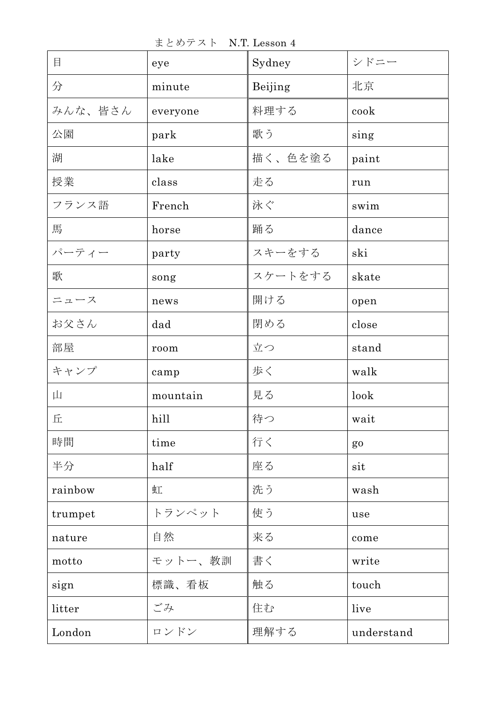まとめテスト N.T. Lesson 4

| 目       | eye      | Sydney  | シドニー           |
|---------|----------|---------|----------------|
| 分       | minute   | Beijing | 北京             |
| みんな、皆さん | everyone | 料理する    | cook           |
| 公園      | park     | 歌う      | sing           |
| 湖       | lake     | 描く、色を塗る | paint          |
| 授業      | class    | 走る      | run            |
| フランス語   | French   | 泳ぐ      | swim           |
| 馬       | horse    | 踊る      | dance          |
| パーティー   | party    | スキーをする  | ski            |
| 歌       | song     | スケートをする | skate          |
| ニュース    | news     | 開ける     | open           |
| お父さん    | dad      | 閉める     | close          |
| 部屋      | room     | 立つ      | stand          |
| キャンプ    | camp     | 歩く      | walk           |
| Щ       | mountain | 見る      | look           |
| 丘       | hill     | 待つ      | wait           |
| 時間      | time     | 行く      | g <sub>0</sub> |
| 半分      | half     | 座る      | sit            |
| rainbow | 虹        | 洗う      | wash           |
| trumpet | トランペット   | 使う      | use            |
| nature  | 自然       | 来る      | come           |
| motto   | モットー、教訓  | 書く      | write          |
| sign    | 標識、看板    | 触る      | touch          |
| litter  | ごみ       | 住む      | live           |
| London  | ロンドン     | 理解する    | understand     |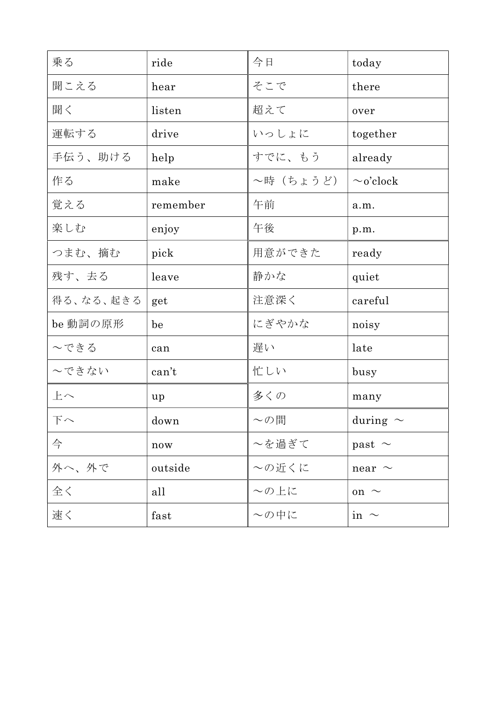| 乗る        | ride     | 今日         | today          |
|-----------|----------|------------|----------------|
| 聞こえる      | hear     | そこで        | there          |
| 聞く        | listen   | 超えて        | over           |
| 運転する      | drive    | いっしょに      | together       |
| 手伝う、助ける   | help     | すでに、もう     | already        |
| 作る        | make     | ~時(ちょうど)   | $\sim$ o'clock |
| 覚える       | remember | 午前         | a.m.           |
| 楽しむ       | enjoy    | 午後         | p.m.           |
| つまむ、摘む    | pick     | 用意ができた     | ready          |
| 残す、去る     | leave    | 静かな        | quiet          |
| 得る、なる、起きる | get      | 注意深く       | careful        |
| be 動詞の原形  | be       | にぎやかな      | noisy          |
| へできる      | can      | 遅い         | late           |
| ~できない     | can't    | 忙しい        | busy           |
| 上へ        | up       | 多くの        | many           |
| 下へ        | down     | $\sim$ の間  | during $\sim$  |
| 今         | now      | ~を過ぎて      | past $\sim$    |
| 外へ、外で     | outside  | ~の近くに      | near $\sim$    |
| 全く        | all      | $\sim$ の上に | on $\sim$      |
| 速く        | fast     | ~の中に       | in $\sim$      |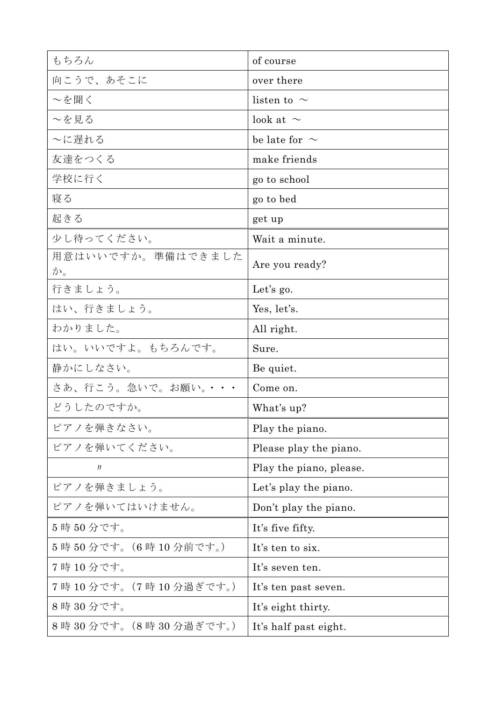| もちろん                      | of course               |  |
|---------------------------|-------------------------|--|
| 向こうで、あそこに                 | over there              |  |
| ~を聞く                      | listen to $\sim$        |  |
| ~を見る                      | look at $\sim$          |  |
| ~に遅れる                     | be late for $\sim$      |  |
| 友達をつくる                    | make friends            |  |
| 学校に行く                     | go to school            |  |
| 寝る                        | go to bed               |  |
| 起きる                       | get up                  |  |
| 少し待ってください。                | Wait a minute.          |  |
| 用意はいいですか。準備はできました<br>か。   | Are you ready?          |  |
| 行きましょう。                   | Let's $g_0$ .           |  |
| はい、行きましょう。                | Yes, let's.             |  |
| わかりました。                   | All right.              |  |
| はい。いいですよ。もちろんです。          | Sure.                   |  |
| 静かにしなさい。                  | Be quiet.               |  |
| さあ、行こう。急いで。お願い。・・・        | Come on.                |  |
| どうしたのですか。                 | What's up?              |  |
| ピアノを弾きなさい。                | Play the piano.         |  |
| ピアノを弾いてください。              | Please play the piano.  |  |
| IJ                        | Play the piano, please. |  |
| ピアノを弾きましょう。               | Let's play the piano.   |  |
| ピアノを弾いてはいけません。            | Don't play the piano.   |  |
| 5時50分です。                  | It's five fifty.        |  |
| 5時50分です。(6時10分前です。)       | It's ten to six.        |  |
| 7時10分です。                  | It's seven ten.         |  |
| 7時 10 分です。(7 時 10 分過ぎです。) | It's ten past seven.    |  |
| 8時30分です。                  | It's eight thirty.      |  |
| 8時 30分です。(8時 30分過ぎです。)    | It's half past eight.   |  |